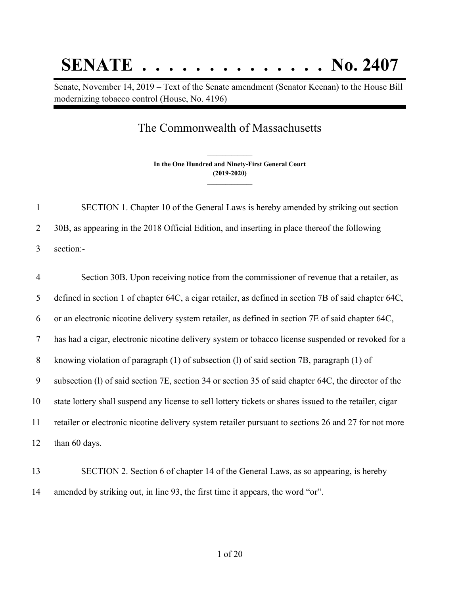## **SENATE . . . . . . . . . . . . . . No. 2407**

Senate, November 14, 2019 – Text of the Senate amendment (Senator Keenan) to the House Bill modernizing tobacco control (House, No. 4196)

## The Commonwealth of Massachusetts

**In the One Hundred and Ninety-First General Court (2019-2020) \_\_\_\_\_\_\_\_\_\_\_\_\_\_\_**

**\_\_\_\_\_\_\_\_\_\_\_\_\_\_\_**

| $\mathbf{1}$   | SECTION 1. Chapter 10 of the General Laws is hereby amended by striking out section                     |
|----------------|---------------------------------------------------------------------------------------------------------|
| 2              | 30B, as appearing in the 2018 Official Edition, and inserting in place thereof the following            |
| 3              | section:-                                                                                               |
| $\overline{4}$ | Section 30B. Upon receiving notice from the commissioner of revenue that a retailer, as                 |
| 5              | defined in section 1 of chapter 64C, a cigar retailer, as defined in section 7B of said chapter 64C,    |
| 6              | or an electronic nicotine delivery system retailer, as defined in section 7E of said chapter 64C,       |
| $\tau$         | has had a cigar, electronic nicotine delivery system or tobacco license suspended or revoked for a      |
| 8              | knowing violation of paragraph (1) of subsection (1) of said section 7B, paragraph (1) of               |
| 9              | subsection (1) of said section 7E, section 34 or section 35 of said chapter 64C, the director of the    |
| 10             | state lottery shall suspend any license to sell lottery tickets or shares issued to the retailer, cigar |
| 11             | retailer or electronic nicotine delivery system retailer pursuant to sections 26 and 27 for not more    |
| 12             | than 60 days.                                                                                           |
|                |                                                                                                         |

 SECTION 2. Section 6 of chapter 14 of the General Laws, as so appearing, is hereby amended by striking out, in line 93, the first time it appears, the word "or".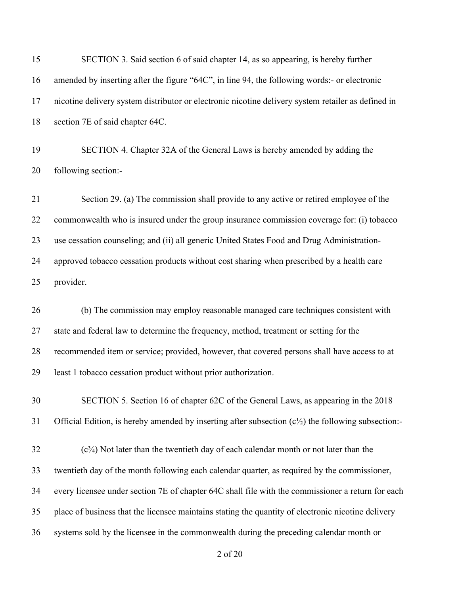| 15 | SECTION 3. Said section 6 of said chapter 14, as so appearing, is hereby further                              |
|----|---------------------------------------------------------------------------------------------------------------|
| 16 | amended by inserting after the figure "64C", in line 94, the following words:- or electronic                  |
| 17 | nicotine delivery system distributor or electronic nicotine delivery system retailer as defined in            |
| 18 | section 7E of said chapter 64C.                                                                               |
| 19 | SECTION 4. Chapter 32A of the General Laws is hereby amended by adding the                                    |
| 20 | following section:-                                                                                           |
| 21 | Section 29. (a) The commission shall provide to any active or retired employee of the                         |
| 22 | commonwealth who is insured under the group insurance commission coverage for: (i) tobacco                    |
| 23 | use cessation counseling; and (ii) all generic United States Food and Drug Administration-                    |
| 24 | approved tobacco cessation products without cost sharing when prescribed by a health care                     |
| 25 | provider.                                                                                                     |
| 26 | (b) The commission may employ reasonable managed care techniques consistent with                              |
| 27 | state and federal law to determine the frequency, method, treatment or setting for the                        |
| 28 | recommended item or service; provided, however, that covered persons shall have access to at                  |
| 29 | least 1 tobacco cessation product without prior authorization.                                                |
| 30 | SECTION 5. Section 16 of chapter 62C of the General Laws, as appearing in the 2018                            |
| 31 | Official Edition, is hereby amended by inserting after subsection $(c\frac{1}{2})$ the following subsection:- |
| 32 | $(c3/4)$ Not later than the twentieth day of each calendar month or not later than the                        |
| 33 | twentieth day of the month following each calendar quarter, as required by the commissioner,                  |
| 34 | every licensee under section 7E of chapter 64C shall file with the commissioner a return for each             |
| 35 | place of business that the licensee maintains stating the quantity of electronic nicotine delivery            |
| 36 | systems sold by the licensee in the commonwealth during the preceding calendar month or                       |
|    |                                                                                                               |

of 20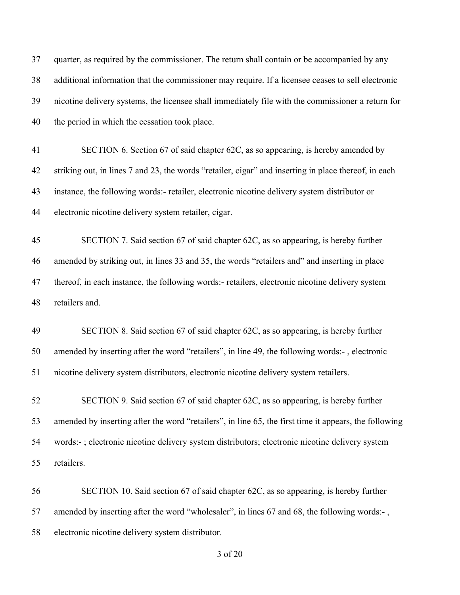| 37 | quarter, as required by the commissioner. The return shall contain or be accompanied by any           |
|----|-------------------------------------------------------------------------------------------------------|
| 38 | additional information that the commissioner may require. If a licensee ceases to sell electronic     |
| 39 | nicotine delivery systems, the licensee shall immediately file with the commissioner a return for     |
| 40 | the period in which the cessation took place.                                                         |
| 41 | SECTION 6. Section 67 of said chapter 62C, as so appearing, is hereby amended by                      |
| 42 | striking out, in lines 7 and 23, the words "retailer, cigar" and inserting in place thereof, in each  |
| 43 | instance, the following words:- retailer, electronic nicotine delivery system distributor or          |
| 44 | electronic nicotine delivery system retailer, cigar.                                                  |
| 45 | SECTION 7. Said section 67 of said chapter 62C, as so appearing, is hereby further                    |
| 46 | amended by striking out, in lines 33 and 35, the words "retailers and" and inserting in place         |
| 47 | thereof, in each instance, the following words:- retailers, electronic nicotine delivery system       |
| 48 | retailers and.                                                                                        |
| 49 | SECTION 8. Said section 67 of said chapter 62C, as so appearing, is hereby further                    |
| 50 | amended by inserting after the word "retailers", in line 49, the following words:-, electronic        |
| 51 | nicotine delivery system distributors, electronic nicotine delivery system retailers.                 |
| 52 | SECTION 9. Said section 67 of said chapter 62C, as so appearing, is hereby further                    |
| 53 | amended by inserting after the word "retailers", in line 65, the first time it appears, the following |
| 54 | words:-; electronic nicotine delivery system distributors; electronic nicotine delivery system        |
| 55 | retailers.                                                                                            |
| 56 | SECTION 10. Said section 67 of said chapter 62C, as so appearing, is hereby further                   |
| 57 | amended by inserting after the word "wholesaler", in lines 67 and 68, the following words:-,          |
| 58 | electronic nicotine delivery system distributor.                                                      |

of 20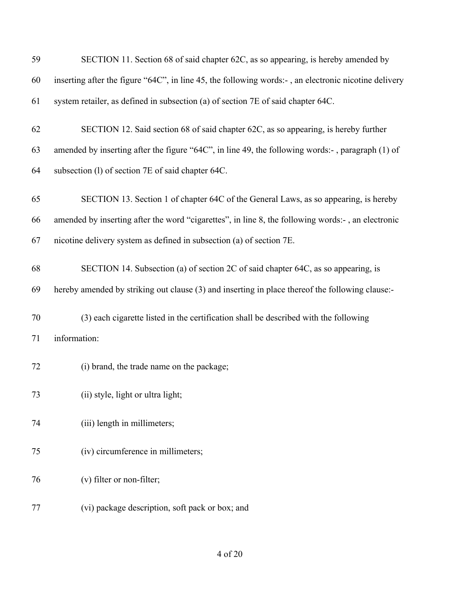| 59 | SECTION 11. Section 68 of said chapter 62C, as so appearing, is hereby amended by                    |
|----|------------------------------------------------------------------------------------------------------|
| 60 | inserting after the figure "64C", in line 45, the following words:-, an electronic nicotine delivery |
| 61 | system retailer, as defined in subsection (a) of section 7E of said chapter 64C.                     |
| 62 | SECTION 12. Said section 68 of said chapter 62C, as so appearing, is hereby further                  |
| 63 | amended by inserting after the figure "64C", in line 49, the following words:-, paragraph (1) of     |
| 64 | subsection (1) of section 7E of said chapter 64C.                                                    |
| 65 | SECTION 13. Section 1 of chapter 64C of the General Laws, as so appearing, is hereby                 |
| 66 | amended by inserting after the word "cigarettes", in line 8, the following words:-, an electronic    |
| 67 | nicotine delivery system as defined in subsection (a) of section 7E.                                 |
| 68 | SECTION 14. Subsection (a) of section 2C of said chapter 64C, as so appearing, is                    |
| 69 | hereby amended by striking out clause (3) and inserting in place thereof the following clause:-      |
| 70 | (3) each cigarette listed in the certification shall be described with the following                 |
| 71 | information:                                                                                         |
| 72 | (i) brand, the trade name on the package;                                                            |
| 73 | (ii) style, light or ultra light;                                                                    |
| 74 | (iii) length in millimeters;                                                                         |
| 75 | (iv) circumference in millimeters;                                                                   |
| 76 | (v) filter or non-filter;                                                                            |
| 77 | (vi) package description, soft pack or box; and                                                      |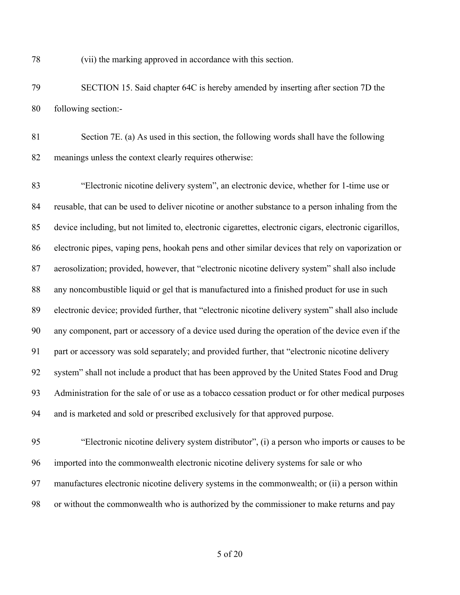(vii) the marking approved in accordance with this section.

 SECTION 15. Said chapter 64C is hereby amended by inserting after section 7D the following section:-

 Section 7E. (a) As used in this section, the following words shall have the following meanings unless the context clearly requires otherwise:

 "Electronic nicotine delivery system", an electronic device, whether for 1-time use or reusable, that can be used to deliver nicotine or another substance to a person inhaling from the device including, but not limited to, electronic cigarettes, electronic cigars, electronic cigarillos, electronic pipes, vaping pens, hookah pens and other similar devices that rely on vaporization or aerosolization; provided, however, that "electronic nicotine delivery system" shall also include any noncombustible liquid or gel that is manufactured into a finished product for use in such electronic device; provided further, that "electronic nicotine delivery system" shall also include any component, part or accessory of a device used during the operation of the device even if the part or accessory was sold separately; and provided further, that "electronic nicotine delivery system" shall not include a product that has been approved by the United States Food and Drug Administration for the sale of or use as a tobacco cessation product or for other medical purposes and is marketed and sold or prescribed exclusively for that approved purpose.

 "Electronic nicotine delivery system distributor", (i) a person who imports or causes to be imported into the commonwealth electronic nicotine delivery systems for sale or who manufactures electronic nicotine delivery systems in the commonwealth; or (ii) a person within or without the commonwealth who is authorized by the commissioner to make returns and pay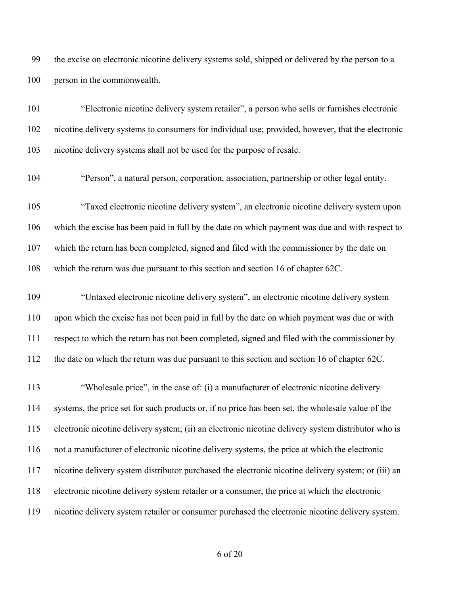the excise on electronic nicotine delivery systems sold, shipped or delivered by the person to a person in the commonwealth.

 "Electronic nicotine delivery system retailer", a person who sells or furnishes electronic nicotine delivery systems to consumers for individual use; provided, however, that the electronic nicotine delivery systems shall not be used for the purpose of resale.

"Person", a natural person, corporation, association, partnership or other legal entity.

 "Taxed electronic nicotine delivery system", an electronic nicotine delivery system upon which the excise has been paid in full by the date on which payment was due and with respect to which the return has been completed, signed and filed with the commissioner by the date on which the return was due pursuant to this section and section 16 of chapter 62C.

 "Untaxed electronic nicotine delivery system", an electronic nicotine delivery system upon which the excise has not been paid in full by the date on which payment was due or with respect to which the return has not been completed, signed and filed with the commissioner by the date on which the return was due pursuant to this section and section 16 of chapter 62C.

 "Wholesale price", in the case of: (i) a manufacturer of electronic nicotine delivery systems, the price set for such products or, if no price has been set, the wholesale value of the electronic nicotine delivery system; (ii) an electronic nicotine delivery system distributor who is not a manufacturer of electronic nicotine delivery systems, the price at which the electronic nicotine delivery system distributor purchased the electronic nicotine delivery system; or (iii) an electronic nicotine delivery system retailer or a consumer, the price at which the electronic nicotine delivery system retailer or consumer purchased the electronic nicotine delivery system.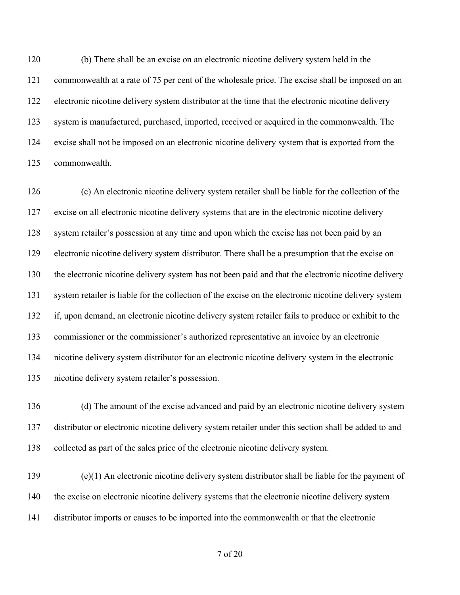(b) There shall be an excise on an electronic nicotine delivery system held in the commonwealth at a rate of 75 per cent of the wholesale price. The excise shall be imposed on an electronic nicotine delivery system distributor at the time that the electronic nicotine delivery system is manufactured, purchased, imported, received or acquired in the commonwealth. The excise shall not be imposed on an electronic nicotine delivery system that is exported from the commonwealth.

 (c) An electronic nicotine delivery system retailer shall be liable for the collection of the excise on all electronic nicotine delivery systems that are in the electronic nicotine delivery system retailer's possession at any time and upon which the excise has not been paid by an electronic nicotine delivery system distributor. There shall be a presumption that the excise on the electronic nicotine delivery system has not been paid and that the electronic nicotine delivery system retailer is liable for the collection of the excise on the electronic nicotine delivery system if, upon demand, an electronic nicotine delivery system retailer fails to produce or exhibit to the commissioner or the commissioner's authorized representative an invoice by an electronic nicotine delivery system distributor for an electronic nicotine delivery system in the electronic nicotine delivery system retailer's possession.

 (d) The amount of the excise advanced and paid by an electronic nicotine delivery system distributor or electronic nicotine delivery system retailer under this section shall be added to and collected as part of the sales price of the electronic nicotine delivery system.

 (e)(1) An electronic nicotine delivery system distributor shall be liable for the payment of the excise on electronic nicotine delivery systems that the electronic nicotine delivery system distributor imports or causes to be imported into the commonwealth or that the electronic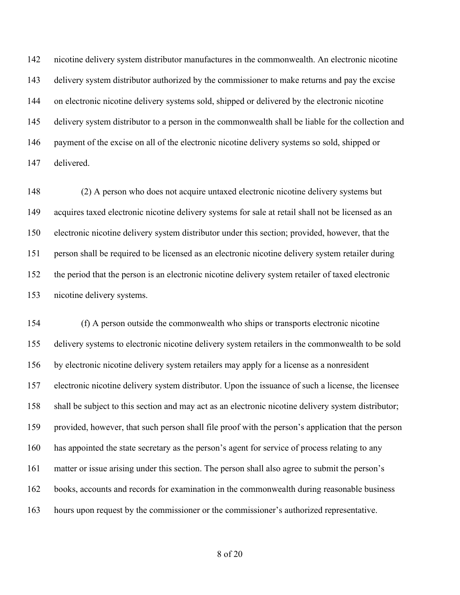nicotine delivery system distributor manufactures in the commonwealth. An electronic nicotine delivery system distributor authorized by the commissioner to make returns and pay the excise on electronic nicotine delivery systems sold, shipped or delivered by the electronic nicotine delivery system distributor to a person in the commonwealth shall be liable for the collection and payment of the excise on all of the electronic nicotine delivery systems so sold, shipped or delivered.

 (2) A person who does not acquire untaxed electronic nicotine delivery systems but acquires taxed electronic nicotine delivery systems for sale at retail shall not be licensed as an electronic nicotine delivery system distributor under this section; provided, however, that the person shall be required to be licensed as an electronic nicotine delivery system retailer during the period that the person is an electronic nicotine delivery system retailer of taxed electronic nicotine delivery systems.

 (f) A person outside the commonwealth who ships or transports electronic nicotine delivery systems to electronic nicotine delivery system retailers in the commonwealth to be sold by electronic nicotine delivery system retailers may apply for a license as a nonresident electronic nicotine delivery system distributor. Upon the issuance of such a license, the licensee shall be subject to this section and may act as an electronic nicotine delivery system distributor; provided, however, that such person shall file proof with the person's application that the person has appointed the state secretary as the person's agent for service of process relating to any matter or issue arising under this section. The person shall also agree to submit the person's books, accounts and records for examination in the commonwealth during reasonable business hours upon request by the commissioner or the commissioner's authorized representative.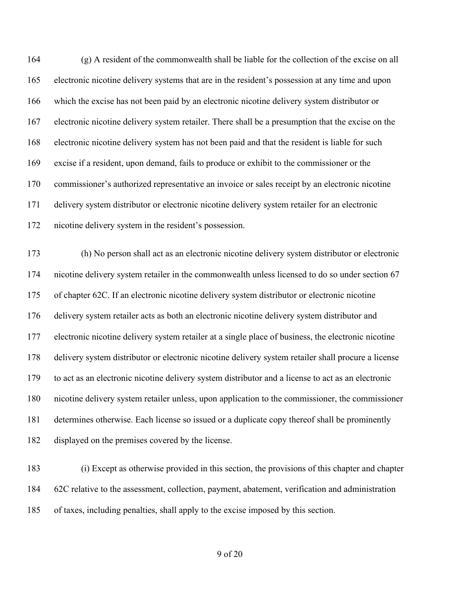(g) A resident of the commonwealth shall be liable for the collection of the excise on all electronic nicotine delivery systems that are in the resident's possession at any time and upon which the excise has not been paid by an electronic nicotine delivery system distributor or electronic nicotine delivery system retailer. There shall be a presumption that the excise on the electronic nicotine delivery system has not been paid and that the resident is liable for such excise if a resident, upon demand, fails to produce or exhibit to the commissioner or the commissioner's authorized representative an invoice or sales receipt by an electronic nicotine delivery system distributor or electronic nicotine delivery system retailer for an electronic nicotine delivery system in the resident's possession.

 (h) No person shall act as an electronic nicotine delivery system distributor or electronic nicotine delivery system retailer in the commonwealth unless licensed to do so under section 67 of chapter 62C. If an electronic nicotine delivery system distributor or electronic nicotine delivery system retailer acts as both an electronic nicotine delivery system distributor and electronic nicotine delivery system retailer at a single place of business, the electronic nicotine delivery system distributor or electronic nicotine delivery system retailer shall procure a license to act as an electronic nicotine delivery system distributor and a license to act as an electronic nicotine delivery system retailer unless, upon application to the commissioner, the commissioner determines otherwise. Each license so issued or a duplicate copy thereof shall be prominently displayed on the premises covered by the license.

 (i) Except as otherwise provided in this section, the provisions of this chapter and chapter 62C relative to the assessment, collection, payment, abatement, verification and administration of taxes, including penalties, shall apply to the excise imposed by this section.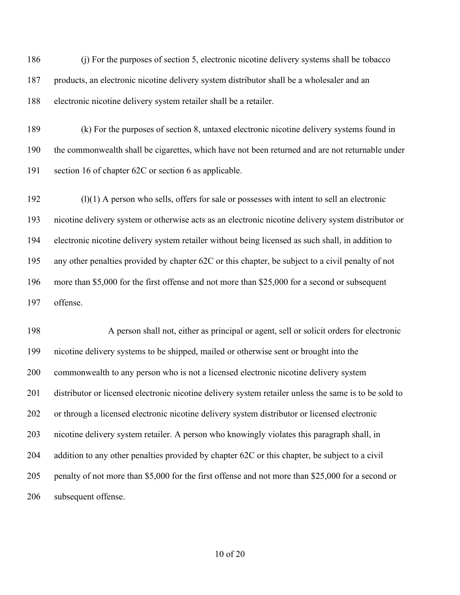(j) For the purposes of section 5, electronic nicotine delivery systems shall be tobacco products, an electronic nicotine delivery system distributor shall be a wholesaler and an electronic nicotine delivery system retailer shall be a retailer.

 (k) For the purposes of section 8, untaxed electronic nicotine delivery systems found in the commonwealth shall be cigarettes, which have not been returned and are not returnable under section 16 of chapter 62C or section 6 as applicable.

 (l)(1) A person who sells, offers for sale or possesses with intent to sell an electronic nicotine delivery system or otherwise acts as an electronic nicotine delivery system distributor or electronic nicotine delivery system retailer without being licensed as such shall, in addition to any other penalties provided by chapter 62C or this chapter, be subject to a civil penalty of not more than \$5,000 for the first offense and not more than \$25,000 for a second or subsequent offense.

 A person shall not, either as principal or agent, sell or solicit orders for electronic nicotine delivery systems to be shipped, mailed or otherwise sent or brought into the commonwealth to any person who is not a licensed electronic nicotine delivery system distributor or licensed electronic nicotine delivery system retailer unless the same is to be sold to or through a licensed electronic nicotine delivery system distributor or licensed electronic nicotine delivery system retailer. A person who knowingly violates this paragraph shall, in 204 addition to any other penalties provided by chapter 62C or this chapter, be subject to a civil penalty of not more than \$5,000 for the first offense and not more than \$25,000 for a second or subsequent offense.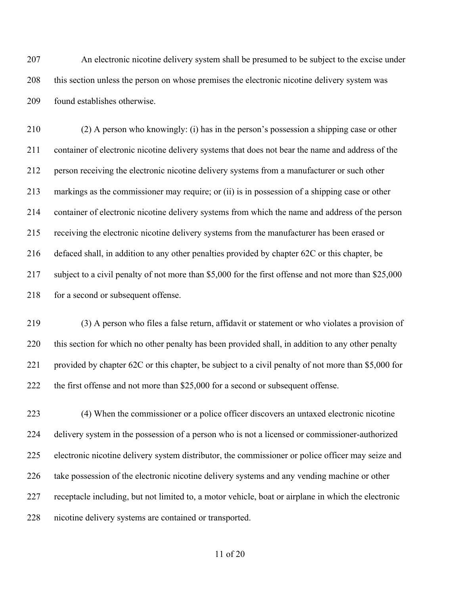An electronic nicotine delivery system shall be presumed to be subject to the excise under this section unless the person on whose premises the electronic nicotine delivery system was found establishes otherwise.

 (2) A person who knowingly: (i) has in the person's possession a shipping case or other container of electronic nicotine delivery systems that does not bear the name and address of the person receiving the electronic nicotine delivery systems from a manufacturer or such other markings as the commissioner may require; or (ii) is in possession of a shipping case or other container of electronic nicotine delivery systems from which the name and address of the person receiving the electronic nicotine delivery systems from the manufacturer has been erased or defaced shall, in addition to any other penalties provided by chapter 62C or this chapter, be subject to a civil penalty of not more than \$5,000 for the first offense and not more than \$25,000 218 for a second or subsequent offense.

 (3) A person who files a false return, affidavit or statement or who violates a provision of this section for which no other penalty has been provided shall, in addition to any other penalty provided by chapter 62C or this chapter, be subject to a civil penalty of not more than \$5,000 for the first offense and not more than \$25,000 for a second or subsequent offense.

 (4) When the commissioner or a police officer discovers an untaxed electronic nicotine delivery system in the possession of a person who is not a licensed or commissioner-authorized electronic nicotine delivery system distributor, the commissioner or police officer may seize and take possession of the electronic nicotine delivery systems and any vending machine or other receptacle including, but not limited to, a motor vehicle, boat or airplane in which the electronic nicotine delivery systems are contained or transported.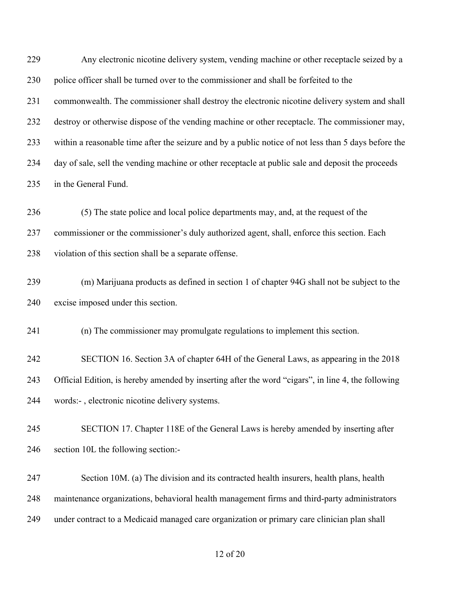Any electronic nicotine delivery system, vending machine or other receptacle seized by a police officer shall be turned over to the commissioner and shall be forfeited to the commonwealth. The commissioner shall destroy the electronic nicotine delivery system and shall destroy or otherwise dispose of the vending machine or other receptacle. The commissioner may, within a reasonable time after the seizure and by a public notice of not less than 5 days before the day of sale, sell the vending machine or other receptacle at public sale and deposit the proceeds in the General Fund.

 (5) The state police and local police departments may, and, at the request of the commissioner or the commissioner's duly authorized agent, shall, enforce this section. Each violation of this section shall be a separate offense.

 (m) Marijuana products as defined in section 1 of chapter 94G shall not be subject to the excise imposed under this section.

(n) The commissioner may promulgate regulations to implement this section.

 SECTION 16. Section 3A of chapter 64H of the General Laws, as appearing in the 2018 Official Edition, is hereby amended by inserting after the word "cigars", in line 4, the following words:- , electronic nicotine delivery systems.

 SECTION 17. Chapter 118E of the General Laws is hereby amended by inserting after section 10L the following section:-

 Section 10M. (a) The division and its contracted health insurers, health plans, health maintenance organizations, behavioral health management firms and third-party administrators under contract to a Medicaid managed care organization or primary care clinician plan shall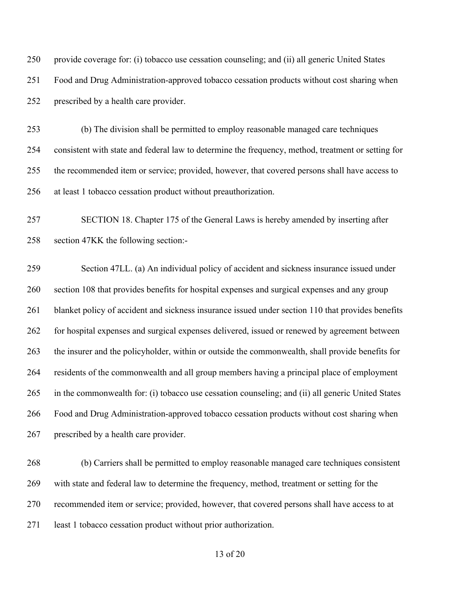provide coverage for: (i) tobacco use cessation counseling; and (ii) all generic United States Food and Drug Administration-approved tobacco cessation products without cost sharing when prescribed by a health care provider.

 (b) The division shall be permitted to employ reasonable managed care techniques consistent with state and federal law to determine the frequency, method, treatment or setting for the recommended item or service; provided, however, that covered persons shall have access to at least 1 tobacco cessation product without preauthorization.

 SECTION 18. Chapter 175 of the General Laws is hereby amended by inserting after section 47KK the following section:-

 Section 47LL. (a) An individual policy of accident and sickness insurance issued under section 108 that provides benefits for hospital expenses and surgical expenses and any group 261 blanket policy of accident and sickness insurance issued under section 110 that provides benefits for hospital expenses and surgical expenses delivered, issued or renewed by agreement between the insurer and the policyholder, within or outside the commonwealth, shall provide benefits for residents of the commonwealth and all group members having a principal place of employment in the commonwealth for: (i) tobacco use cessation counseling; and (ii) all generic United States Food and Drug Administration-approved tobacco cessation products without cost sharing when prescribed by a health care provider.

 (b) Carriers shall be permitted to employ reasonable managed care techniques consistent with state and federal law to determine the frequency, method, treatment or setting for the recommended item or service; provided, however, that covered persons shall have access to at least 1 tobacco cessation product without prior authorization.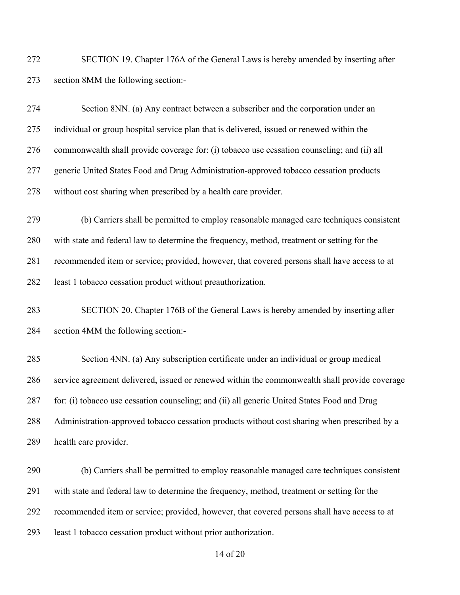SECTION 19. Chapter 176A of the General Laws is hereby amended by inserting after section 8MM the following section:-

 Section 8NN. (a) Any contract between a subscriber and the corporation under an individual or group hospital service plan that is delivered, issued or renewed within the commonwealth shall provide coverage for: (i) tobacco use cessation counseling; and (ii) all generic United States Food and Drug Administration-approved tobacco cessation products without cost sharing when prescribed by a health care provider. (b) Carriers shall be permitted to employ reasonable managed care techniques consistent with state and federal law to determine the frequency, method, treatment or setting for the recommended item or service; provided, however, that covered persons shall have access to at

least 1 tobacco cessation product without preauthorization.

 SECTION 20. Chapter 176B of the General Laws is hereby amended by inserting after section 4MM the following section:-

 Section 4NN. (a) Any subscription certificate under an individual or group medical service agreement delivered, issued or renewed within the commonwealth shall provide coverage for: (i) tobacco use cessation counseling; and (ii) all generic United States Food and Drug Administration-approved tobacco cessation products without cost sharing when prescribed by a health care provider.

 (b) Carriers shall be permitted to employ reasonable managed care techniques consistent with state and federal law to determine the frequency, method, treatment or setting for the recommended item or service; provided, however, that covered persons shall have access to at least 1 tobacco cessation product without prior authorization.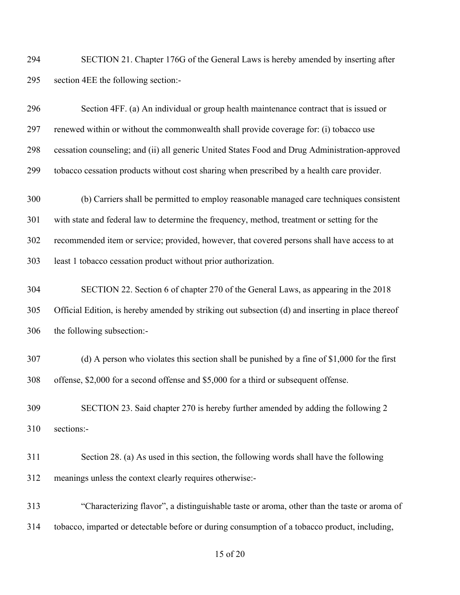SECTION 21. Chapter 176G of the General Laws is hereby amended by inserting after section 4EE the following section:-

| 296 | Section 4FF. (a) An individual or group health maintenance contract that is issued or             |
|-----|---------------------------------------------------------------------------------------------------|
| 297 | renewed within or without the commonwealth shall provide coverage for: (i) tobacco use            |
| 298 | cessation counseling; and (ii) all generic United States Food and Drug Administration-approved    |
| 299 | tobacco cessation products without cost sharing when prescribed by a health care provider.        |
| 300 | (b) Carriers shall be permitted to employ reasonable managed care techniques consistent           |
| 301 | with state and federal law to determine the frequency, method, treatment or setting for the       |
| 302 | recommended item or service; provided, however, that covered persons shall have access to at      |
| 303 | least 1 tobacco cessation product without prior authorization.                                    |
| 304 | SECTION 22. Section 6 of chapter 270 of the General Laws, as appearing in the 2018                |
| 305 | Official Edition, is hereby amended by striking out subsection (d) and inserting in place thereof |
| 306 | the following subsection:-                                                                        |
| 307 | (d) A person who violates this section shall be punished by a fine of $$1,000$ for the first      |
| 308 | offense, \$2,000 for a second offense and \$5,000 for a third or subsequent offense.              |
| 309 | SECTION 23. Said chapter 270 is hereby further amended by adding the following 2                  |
| 310 | sections:-                                                                                        |
| 311 | Section 28. (a) As used in this section, the following words shall have the following             |
| 312 | meanings unless the context clearly requires otherwise:-                                          |
| 313 | "Characterizing flavor", a distinguishable taste or aroma, other than the taste or aroma of       |
| 314 | tobacco, imparted or detectable before or during consumption of a tobacco product, including,     |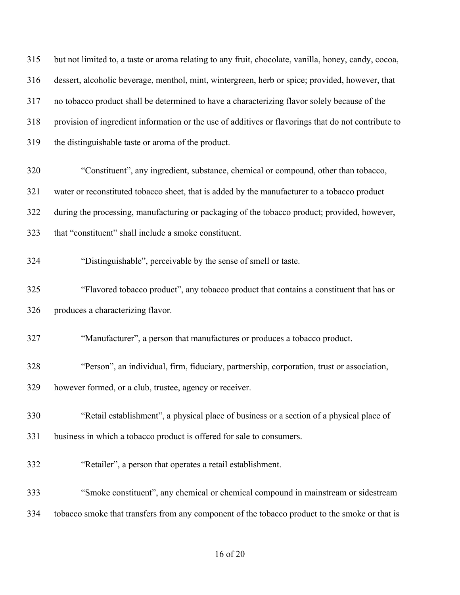but not limited to, a taste or aroma relating to any fruit, chocolate, vanilla, honey, candy, cocoa, dessert, alcoholic beverage, menthol, mint, wintergreen, herb or spice; provided, however, that no tobacco product shall be determined to have a characterizing flavor solely because of the provision of ingredient information or the use of additives or flavorings that do not contribute to the distinguishable taste or aroma of the product. "Constituent", any ingredient, substance, chemical or compound, other than tobacco, water or reconstituted tobacco sheet, that is added by the manufacturer to a tobacco product during the processing, manufacturing or packaging of the tobacco product; provided, however, that "constituent" shall include a smoke constituent. "Distinguishable", perceivable by the sense of smell or taste. "Flavored tobacco product", any tobacco product that contains a constituent that has or produces a characterizing flavor. "Manufacturer", a person that manufactures or produces a tobacco product. "Person", an individual, firm, fiduciary, partnership, corporation, trust or association, however formed, or a club, trustee, agency or receiver. "Retail establishment", a physical place of business or a section of a physical place of business in which a tobacco product is offered for sale to consumers. "Retailer", a person that operates a retail establishment. "Smoke constituent", any chemical or chemical compound in mainstream or sidestream tobacco smoke that transfers from any component of the tobacco product to the smoke or that is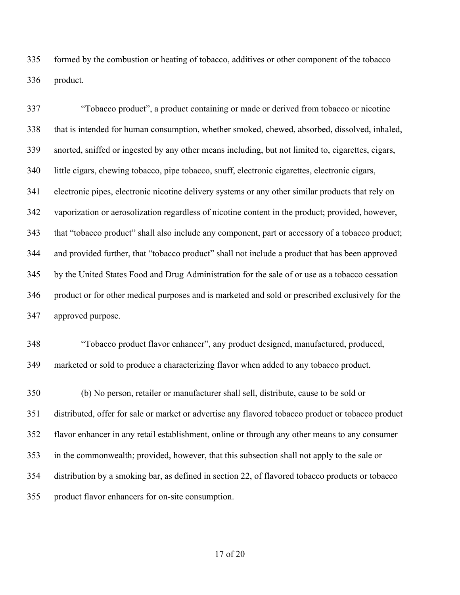formed by the combustion or heating of tobacco, additives or other component of the tobacco product.

 "Tobacco product", a product containing or made or derived from tobacco or nicotine that is intended for human consumption, whether smoked, chewed, absorbed, dissolved, inhaled, snorted, sniffed or ingested by any other means including, but not limited to, cigarettes, cigars, little cigars, chewing tobacco, pipe tobacco, snuff, electronic cigarettes, electronic cigars, electronic pipes, electronic nicotine delivery systems or any other similar products that rely on vaporization or aerosolization regardless of nicotine content in the product; provided, however, that "tobacco product" shall also include any component, part or accessory of a tobacco product; and provided further, that "tobacco product" shall not include a product that has been approved by the United States Food and Drug Administration for the sale of or use as a tobacco cessation product or for other medical purposes and is marketed and sold or prescribed exclusively for the approved purpose.

 "Tobacco product flavor enhancer", any product designed, manufactured, produced, marketed or sold to produce a characterizing flavor when added to any tobacco product.

 (b) No person, retailer or manufacturer shall sell, distribute, cause to be sold or distributed, offer for sale or market or advertise any flavored tobacco product or tobacco product flavor enhancer in any retail establishment, online or through any other means to any consumer in the commonwealth; provided, however, that this subsection shall not apply to the sale or distribution by a smoking bar, as defined in section 22, of flavored tobacco products or tobacco product flavor enhancers for on-site consumption.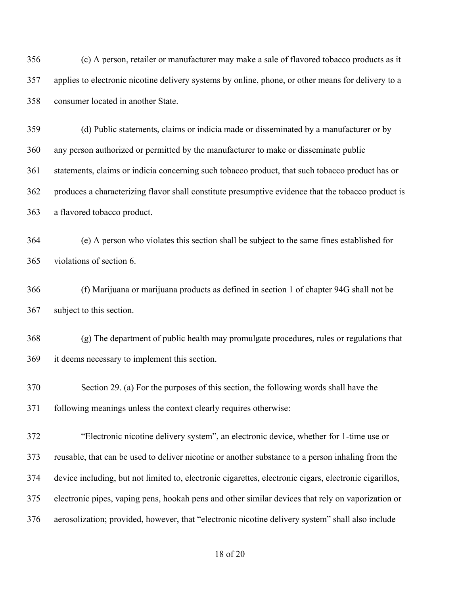(c) A person, retailer or manufacturer may make a sale of flavored tobacco products as it applies to electronic nicotine delivery systems by online, phone, or other means for delivery to a consumer located in another State.

 (d) Public statements, claims or indicia made or disseminated by a manufacturer or by any person authorized or permitted by the manufacturer to make or disseminate public statements, claims or indicia concerning such tobacco product, that such tobacco product has or produces a characterizing flavor shall constitute presumptive evidence that the tobacco product is a flavored tobacco product.

 (e) A person who violates this section shall be subject to the same fines established for violations of section 6.

 (f) Marijuana or marijuana products as defined in section 1 of chapter 94G shall not be subject to this section.

 (g) The department of public health may promulgate procedures, rules or regulations that it deems necessary to implement this section.

 Section 29. (a) For the purposes of this section, the following words shall have the following meanings unless the context clearly requires otherwise:

 "Electronic nicotine delivery system", an electronic device, whether for 1-time use or reusable, that can be used to deliver nicotine or another substance to a person inhaling from the device including, but not limited to, electronic cigarettes, electronic cigars, electronic cigarillos, electronic pipes, vaping pens, hookah pens and other similar devices that rely on vaporization or aerosolization; provided, however, that "electronic nicotine delivery system" shall also include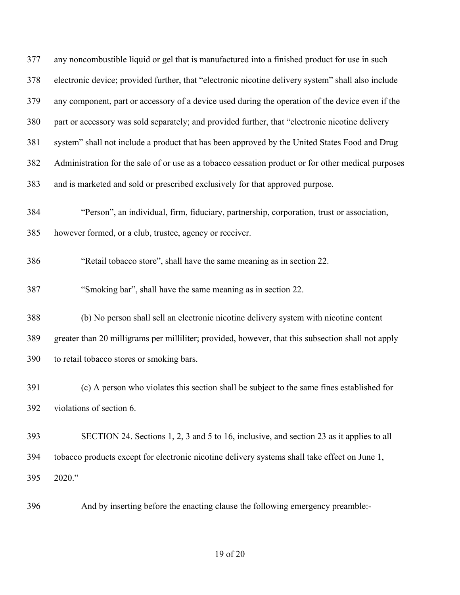| 377 | any noncombustible liquid or gel that is manufactured into a finished product for use in such      |
|-----|----------------------------------------------------------------------------------------------------|
| 378 | electronic device; provided further, that "electronic nicotine delivery system" shall also include |
| 379 | any component, part or accessory of a device used during the operation of the device even if the   |
| 380 | part or accessory was sold separately; and provided further, that "electronic nicotine delivery    |
| 381 | system" shall not include a product that has been approved by the United States Food and Drug      |
| 382 | Administration for the sale of or use as a tobacco cessation product or for other medical purposes |
| 383 | and is marketed and sold or prescribed exclusively for that approved purpose.                      |
| 384 | "Person", an individual, firm, fiduciary, partnership, corporation, trust or association,          |
| 385 | however formed, or a club, trustee, agency or receiver.                                            |
| 386 | "Retail tobacco store", shall have the same meaning as in section 22.                              |
| 387 | "Smoking bar", shall have the same meaning as in section 22.                                       |
| 388 | (b) No person shall sell an electronic nicotine delivery system with nicotine content              |
| 389 | greater than 20 milligrams per milliliter; provided, however, that this subsection shall not apply |
| 390 | to retail tobacco stores or smoking bars.                                                          |
| 391 | (c) A person who violates this section shall be subject to the same fines established for          |
| 392 | violations of section 6.                                                                           |
| 393 | SECTION 24. Sections 1, 2, 3 and 5 to 16, inclusive, and section 23 as it applies to all           |
| 394 | tobacco products except for electronic nicotine delivery systems shall take effect on June 1,      |
| 395 | 2020."                                                                                             |
| 396 | And by inserting before the enacting clause the following emergency preamble:-                     |